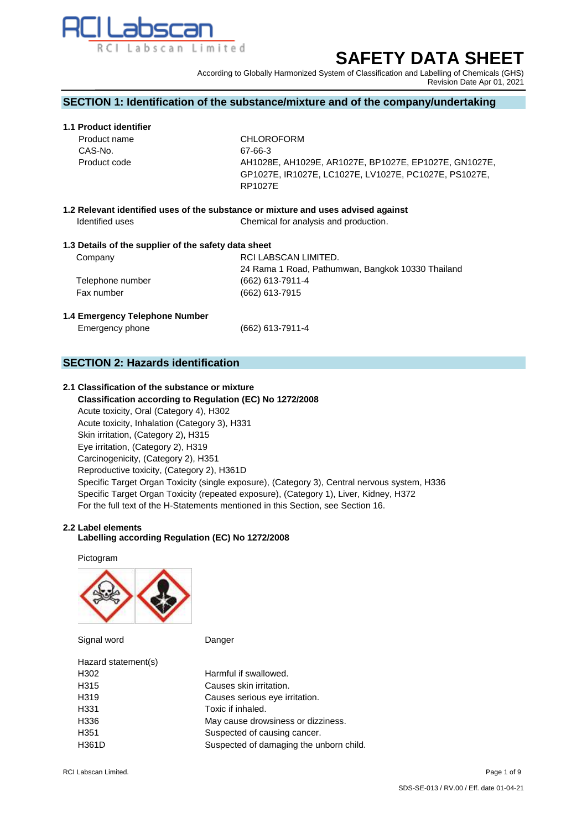

# **SAFETY DATA SHEET**

According to Globally Harmonized System of Classification and Labelling of Chemicals (GHS) Revision Date Apr 01, 2021

### **SECTION 1: Identification of the substance/mixture and of the company/undertaking**

### **1.1 Product identifier**

| <b>CHLOROFORM</b>                                     |
|-------------------------------------------------------|
| 67-66-3                                               |
| AH1028E, AH1029E, AR1027E, BP1027E, EP1027E, GN1027E, |
| GP1027E, IR1027E, LC1027E, LV1027E, PC1027E, PS1027E, |
| RP1027E                                               |
|                                                       |

**1.2 Relevant identified uses of the substance or mixture and uses advised against Identified uses** Chemical for analysis and production.

#### **1.3 Details of the supplier of the safety data sheet**

| Company          | RCI LABSCAN LIMITED.                              |
|------------------|---------------------------------------------------|
|                  | 24 Rama 1 Road, Pathumwan, Bangkok 10330 Thailand |
| Telephone number | (662) 613-7911-4                                  |
| Fax number       | $(662)$ 613-7915                                  |

#### **1.4 Emergency Telephone Number**

Emergency phone (662) 613-7911-4

### **SECTION 2: Hazards identification**

### **2.1 Classification of the substance or mixture**

 **Classification according to Regulation (EC) No 1272/2008** Acute toxicity, Oral (Category 4), H302 Acute toxicity, Inhalation (Category 3), H331 Skin irritation, (Category 2), H315 Eye irritation, (Category 2), H319 Carcinogenicity, (Category 2), H351 Reproductive toxicity, (Category 2), H361D Specific Target Organ Toxicity (single exposure), (Category 3), Central nervous system, H336 Specific Target Organ Toxicity (repeated exposure), (Category 1), Liver, Kidney, H372 For the full text of the H-Statements mentioned in this Section, see Section 16.

#### **2.2 Label elements**

#### **Labelling according Regulation (EC) No 1272/2008**

Pictogram



| Signal word         | Danger                                  |
|---------------------|-----------------------------------------|
| Hazard statement(s) |                                         |
| H302                | Harmful if swallowed.                   |
| H315                | Causes skin irritation.                 |
| H319                | Causes serious eye irritation.          |
| H331                | Toxic if inhaled.                       |
| H336                | May cause drowsiness or dizziness.      |
| H351                | Suspected of causing cancer.            |
| H361D               | Suspected of damaging the unborn child. |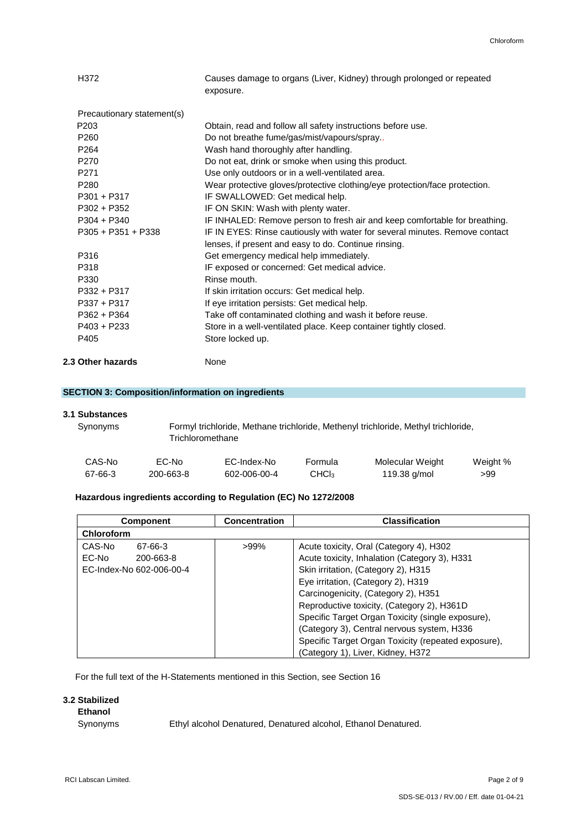| H372                       | Causes damage to organs (Liver, Kidney) through prolonged or repeated<br>exposure. |
|----------------------------|------------------------------------------------------------------------------------|
| Precautionary statement(s) |                                                                                    |
| P <sub>203</sub>           | Obtain, read and follow all safety instructions before use.                        |
| P <sub>260</sub>           | Do not breathe fume/gas/mist/vapours/spray                                         |
| P <sub>264</sub>           | Wash hand thoroughly after handling.                                               |
| P <sub>270</sub>           | Do not eat, drink or smoke when using this product.                                |
| P <sub>271</sub>           | Use only outdoors or in a well-ventilated area.                                    |
| P <sub>280</sub>           | Wear protective gloves/protective clothing/eye protection/face protection.         |
| $P301 + P317$              | IF SWALLOWED: Get medical help.                                                    |
| $P302 + P352$              | IF ON SKIN: Wash with plenty water.                                                |
| $P304 + P340$              | IF INHALED: Remove person to fresh air and keep comfortable for breathing.         |
| $P305 + P351 + P338$       | IF IN EYES: Rinse cautiously with water for several minutes. Remove contact        |
|                            | lenses, if present and easy to do. Continue rinsing.                               |
| P316                       | Get emergency medical help immediately.                                            |
| P318                       | IF exposed or concerned: Get medical advice.                                       |
| P330                       | Rinse mouth.                                                                       |
| $P332 + P317$              | If skin irritation occurs: Get medical help.                                       |
| P337 + P317                | If eye irritation persists: Get medical help.                                      |
| $P362 + P364$              | Take off contaminated clothing and wash it before reuse.                           |
| $P403 + P233$              | Store in a well-ventilated place. Keep container tightly closed.                   |
| P405                       | Store locked up.                                                                   |
| 2.3 Other hazards          | None                                                                               |

### **SECTION 3: Composition/information on ingredients**

### **3.1 Substances**

| Synonyms |           | Formyl trichloride, Methane trichloride, Methenyl trichloride, Methyl trichloride,<br>Trichloromethane |                  |                  |          |  |
|----------|-----------|--------------------------------------------------------------------------------------------------------|------------------|------------------|----------|--|
| CAS-No   | EC-No     | EC-Index-No                                                                                            | Formula          | Molecular Weight | Weight % |  |
| 67-66-3  | 200-663-8 | 602-006-00-4                                                                                           | CHC <sub>3</sub> | 119.38 g/mol     | >99      |  |

### **Hazardous ingredients according to Regulation (EC) No 1272/2008**

| <b>Component</b>         | <b>Concentration</b> | <b>Classification</b>                               |
|--------------------------|----------------------|-----------------------------------------------------|
| Chloroform               |                      |                                                     |
| CAS-No<br>67-66-3        | $>99\%$              | Acute toxicity, Oral (Category 4), H302             |
| EC-No<br>200-663-8       |                      | Acute toxicity, Inhalation (Category 3), H331       |
| EC-Index-No 602-006-00-4 |                      | Skin irritation, (Category 2), H315                 |
|                          |                      | Eye irritation, (Category 2), H319                  |
|                          |                      | Carcinogenicity, (Category 2), H351                 |
|                          |                      | Reproductive toxicity, (Category 2), H361D          |
|                          |                      | Specific Target Organ Toxicity (single exposure),   |
|                          |                      | (Category 3), Central nervous system, H336          |
|                          |                      | Specific Target Organ Toxicity (repeated exposure), |
|                          |                      | (Category 1), Liver, Kidney, H372                   |

For the full text of the H-Statements mentioned in this Section, see Section 16

### **3.2 Stabilized**

 **Ethanol**

Synonyms Ethyl alcohol Denatured, Denatured alcohol, Ethanol Denatured.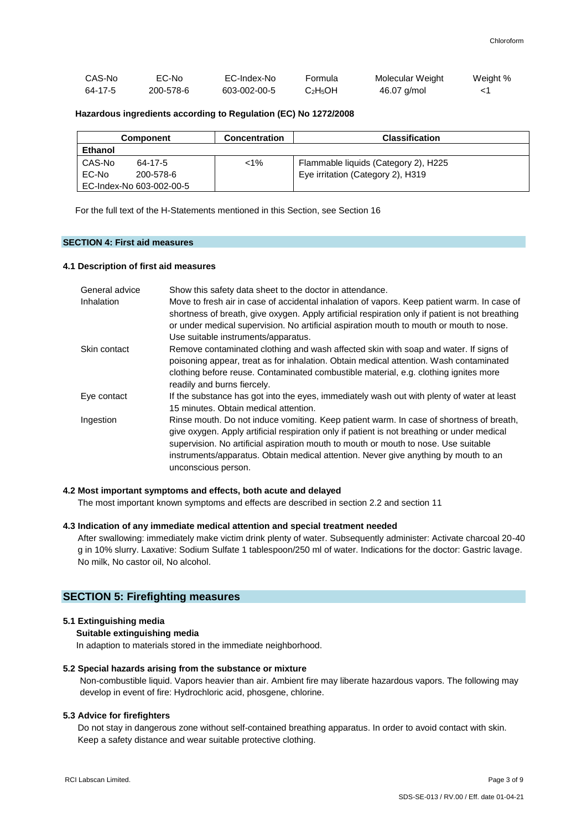| CAS-No  | EC-No     | EC-Index-No  | Formula                          | Molecular Weight | Weight % |
|---------|-----------|--------------|----------------------------------|------------------|----------|
| 64-17-5 | 200-578-6 | 603-002-00-5 | C <sub>2</sub> H <sub>5</sub> OH | 46.07 g/mol      |          |

#### **Hazardous ingredients according to Regulation (EC) No 1272/2008**

| <b>Component</b>         | <b>Concentration</b> | <b>Classification</b>                |
|--------------------------|----------------------|--------------------------------------|
| <b>Ethanol</b>           |                      |                                      |
| CAS-No<br>64-17-5        | $< 1\%$              | Flammable liquids (Category 2), H225 |
| EC-No<br>200-578-6       |                      | Eye irritation (Category 2), H319    |
| EC-Index-No 603-002-00-5 |                      |                                      |

For the full text of the H-Statements mentioned in this Section, see Section 16

### **SECTION 4: First aid measures**

### **4.1 Description of first aid measures**

| General advice | Show this safety data sheet to the doctor in attendance.                                                                                                                                                                                                                                                                                                                                    |
|----------------|---------------------------------------------------------------------------------------------------------------------------------------------------------------------------------------------------------------------------------------------------------------------------------------------------------------------------------------------------------------------------------------------|
| Inhalation     | Move to fresh air in case of accidental inhalation of vapors. Keep patient warm. In case of<br>shortness of breath, give oxygen. Apply artificial respiration only if patient is not breathing<br>or under medical supervision. No artificial aspiration mouth to mouth or mouth to nose.<br>Use suitable instruments/apparatus.                                                            |
| Skin contact   | Remove contaminated clothing and wash affected skin with soap and water. If signs of<br>poisoning appear, treat as for inhalation. Obtain medical attention. Wash contaminated<br>clothing before reuse. Contaminated combustible material, e.g. clothing ignites more<br>readily and burns fiercely.                                                                                       |
| Eye contact    | If the substance has got into the eyes, immediately wash out with plenty of water at least<br>15 minutes. Obtain medical attention.                                                                                                                                                                                                                                                         |
| Ingestion      | Rinse mouth. Do not induce vomiting. Keep patient warm. In case of shortness of breath,<br>give oxygen. Apply artificial respiration only if patient is not breathing or under medical<br>supervision. No artificial aspiration mouth to mouth or mouth to nose. Use suitable<br>instruments/apparatus. Obtain medical attention. Never give anything by mouth to an<br>unconscious person. |

#### **4.2 Most important symptoms and effects, both acute and delayed**

The most important known symptoms and effects are described in section 2.2 and section 11

#### **4.3 Indication of any immediate medical attention and special treatment needed**

 After swallowing: immediately make victim drink plenty of water. Subsequently administer: Activate charcoal 20-40 g in 10% slurry. Laxative: Sodium Sulfate 1 tablespoon/250 ml of water. Indications for the doctor: Gastric lavage. No milk, No castor oil, No alcohol.

#### **SECTION 5: Firefighting measures**

#### **5.1 Extinguishing media**

**Suitable extinguishing media**

In adaption to materials stored in the immediate neighborhood.

#### **5.2 Special hazards arising from the substance or mixture**

Non-combustible liquid. Vapors heavier than air. Ambient fire may liberate hazardous vapors. The following may develop in event of fire: Hydrochloric acid, phosgene, chlorine.

### **5.3 Advice for firefighters**

Do not stay in dangerous zone without self-contained breathing apparatus. In order to avoid contact with skin. Keep a safety distance and wear suitable protective clothing.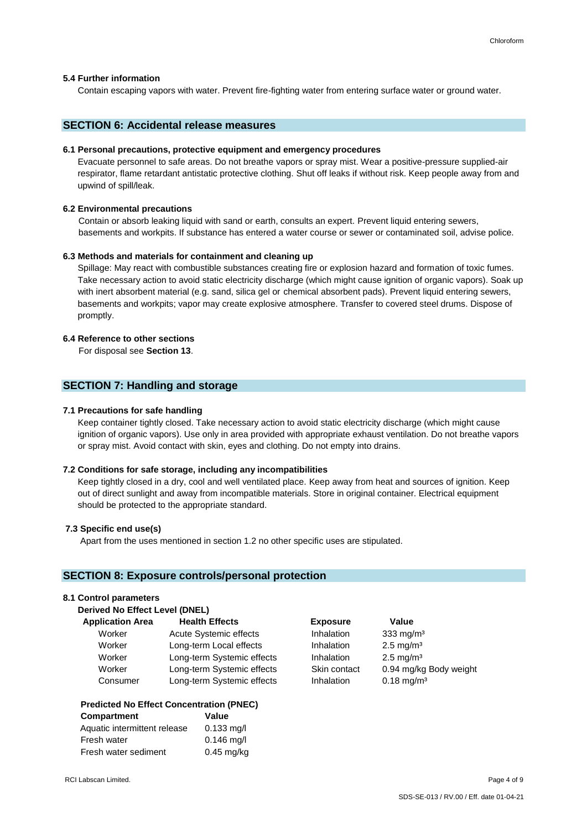#### **5.4 Further information**

Contain escaping vapors with water. Prevent fire-fighting water from entering surface water or ground water.

### **SECTION 6: Accidental release measures**

#### **6.1 Personal precautions, protective equipment and emergency procedures**

Evacuate personnel to safe areas. Do not breathe vapors or spray mist. Wear a positive-pressure supplied-air respirator, flame retardant antistatic protective clothing. Shut off leaks if without risk. Keep people away from and upwind of spill/leak.

#### **6.2 Environmental precautions**

Contain or absorb leaking liquid with sand or earth, consults an expert. Prevent liquid entering sewers, basements and workpits. If substance has entered a water course or sewer or contaminated soil, advise police.

#### **6.3 Methods and materials for containment and cleaning up**

Spillage: May react with combustible substances creating fire or explosion hazard and formation of toxic fumes. Take necessary action to avoid static electricity discharge (which might cause ignition of organic vapors). Soak up with inert absorbent material (e.g. sand, silica gel or chemical absorbent pads). Prevent liquid entering sewers, basements and workpits; vapor may create explosive atmosphere. Transfer to covered steel drums. Dispose of promptly.

### **6.4 Reference to other sections**

For disposal see **Section 13**.

### **SECTION 7: Handling and storage**

#### **7.1 Precautions for safe handling**

 Keep container tightly closed. Take necessary action to avoid static electricity discharge (which might cause ignition of organic vapors). Use only in area provided with appropriate exhaust ventilation. Do not breathe vapors or spray mist. Avoid contact with skin, eyes and clothing. Do not empty into drains.

#### **7.2 Conditions for safe storage, including any incompatibilities**

Keep tightly closed in a dry, cool and well ventilated place. Keep away from heat and sources of ignition. Keep out of direct sunlight and away from incompatible materials. Store in original container. Electrical equipment should be protected to the appropriate standard.

#### **7.3 Specific end use(s)**

Apart from the uses mentioned in section 1.2 no other specific uses are stipulated.

### **SECTION 8: Exposure controls/personal protection**

### **8.1 Control parameters**

 **Derived No Effect Level (DNEL)** 

| <b>Application Area</b> | <b>Health Effects</b>      | <b>Exposure</b> | Value                    |
|-------------------------|----------------------------|-----------------|--------------------------|
| Worker                  | Acute Systemic effects     | Inhalation      | 333 mg/m $3$             |
| Worker                  | Long-term Local effects    | Inhalation      | $2.5 \text{ mg/m}^3$     |
| Worker                  | Long-term Systemic effects | Inhalation      | $2.5 \text{ mg/m}^3$     |
| Worker                  | Long-term Systemic effects | Skin contact    | 0.94 mg/kg Body weight   |
| Consumer                | Long-term Systemic effects | Inhalation      | $0.18$ mg/m <sup>3</sup> |
|                         |                            |                 |                          |

#### **Predicted No Effect Concentration (PNEC)**

| Compartment                  | Value        |
|------------------------------|--------------|
| Aquatic intermittent release | $0.133$ mg/l |
| Fresh water                  | $0.146$ mg/l |
| Fresh water sediment         | $0.45$ mg/kg |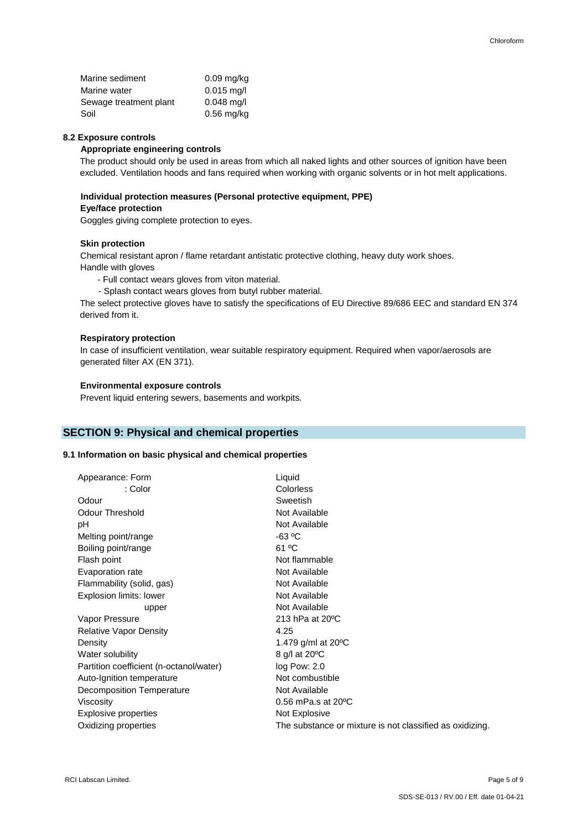### **8.2 Exposure controls**

### **Appropriate engineering controls**

The product should only be used in areas from which all naked lights and other sources of ignition have been excluded. Ventilation hoods and fans required when working with organic solvents or in hot melt applications.

### **Individual protection measures (Personal protective equipment, PPE)**

### **Eye/face protection**

Goggles giving complete protection to eyes.

#### **Skin protection**

 Chemical resistant apron / flame retardant antistatic protective clothing, heavy duty work shoes. Handle with gloves

- Full contact wears gloves from viton material.
- Splash contact wears gloves from butyl rubber material.

The select protective gloves have to satisfy the specifications of EU Directive 89/686 EEC and standard EN 374 derived from it.

#### **Respiratory protection**

In case of insufficient ventilation, wear suitable respiratory equipment. Required when vapor/aerosols are generated filter AX (EN 371).

#### **Environmental exposure controls**

Prevent liquid entering sewers, basements and workpits.

### **SECTION 9: Physical and chemical properties**

### **9.1 Information on basic physical and chemical properties**

| Appearance: Form                        | Liquid                                                   |
|-----------------------------------------|----------------------------------------------------------|
| : Color                                 | Colorless                                                |
| Odour                                   | Sweetish                                                 |
| Odour Threshold                         | Not Available                                            |
| рH                                      | Not Available                                            |
| Melting point/range                     | $-63 °C$                                                 |
| Boiling point/range                     | 61 °C                                                    |
| Flash point                             | Not flammable                                            |
| Evaporation rate                        | Not Available                                            |
| Flammability (solid, gas)               | Not Available                                            |
| Explosion limits: lower                 | Not Available                                            |
| upper                                   | Not Available                                            |
| Vapor Pressure                          | 213 hPa at 20 °C                                         |
| <b>Relative Vapor Density</b>           | 4.25                                                     |
| Density                                 | 1.479 g/ml at $20^{\circ}$ C                             |
| Water solubility                        | 8 g/l at 20 °C                                           |
| Partition coefficient (n-octanol/water) | log Pow: 2.0                                             |
| Auto-Ignition temperature               | Not combustible                                          |
| Decomposition Temperature               | Not Available                                            |
| Viscosity                               | $0.56$ mPa.s at $20^{\circ}$ C                           |
| Explosive properties                    | Not Explosive                                            |
| Oxidizing properties                    | The substance or mixture is not classified as oxidizing. |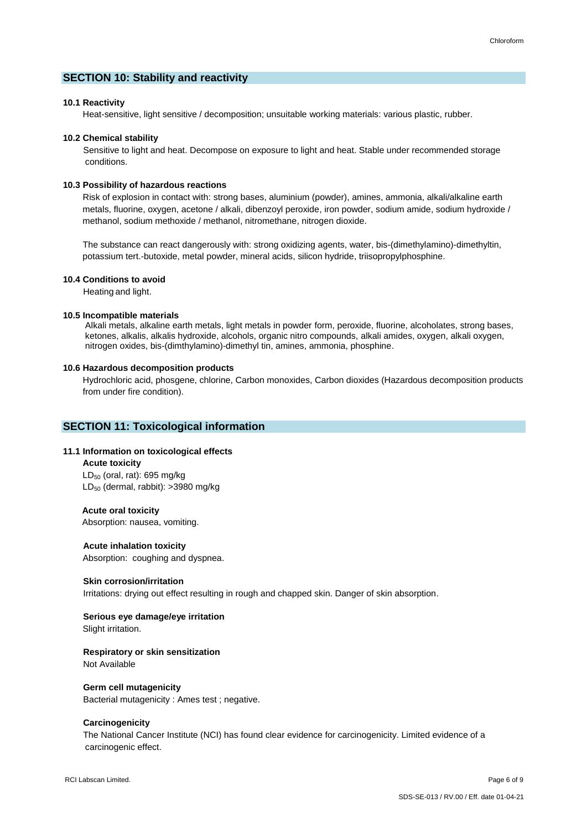### **SECTION 10: Stability and reactivity**

### **10.1 Reactivity**

Heat-sensitive, light sensitive / decomposition; unsuitable working materials: various plastic, rubber.

#### **10.2 Chemical stability**

 Sensitive to light and heat. Decompose on exposure to light and heat. Stable under recommended storage conditions.

#### **10.3 Possibility of hazardous reactions**

Risk of explosion in contact with: strong bases, aluminium (powder), amines, ammonia, alkali/alkaline earth metals, fluorine, oxygen, acetone / alkali, dibenzoyl peroxide, iron powder, sodium amide, sodium hydroxide / methanol, sodium methoxide / methanol, nitromethane, nitrogen dioxide.

The substance can react dangerously with: strong oxidizing agents, water, bis-(dimethylamino)-dimethyltin, potassium tert.-butoxide, metal powder, mineral acids, silicon hydride, triisopropylphosphine.

#### **10.4 Conditions to avoid**

Heating and light.

#### **10.5 Incompatible materials**

Alkali metals, alkaline earth metals, light metals in powder form, peroxide, fluorine, alcoholates, strong bases, ketones, alkalis, alkalis hydroxide, alcohols, organic nitro compounds, alkali amides, oxygen, alkali oxygen, nitrogen oxides, bis-(dimthylamino)-dimethyl tin, amines, ammonia, phosphine.

#### **10.6 Hazardous decomposition products**

 Hydrochloric acid, phosgene, chlorine, Carbon monoxides, Carbon dioxides (Hazardous decomposition products from under fire condition).

### **SECTION 11: Toxicological information**

### **11.1 Information on toxicological effects**

 **Acute toxicity**  $LD_{50}$  (oral, rat): 695 mg/kg LD<sup>50</sup> (dermal, rabbit): >3980 mg/kg

#### **Acute oral toxicity**

Absorption: nausea, vomiting.

#### **Acute inhalation toxicity**

Absorption: coughing and dyspnea.

#### **Skin corrosion/irritation**

Irritations: drying out effect resulting in rough and chapped skin. Danger of skin absorption.

## **Serious eye damage/eye irritation**

Slight irritation.

#### **Respiratory or skin sensitization**

Not Available

#### **Germ cell mutagenicity**

Bacterial mutagenicity : Ames test ; negative.

#### **Carcinogenicity**

The National Cancer Institute (NCI) has found clear evidence for carcinogenicity. Limited evidence of a carcinogenic effect.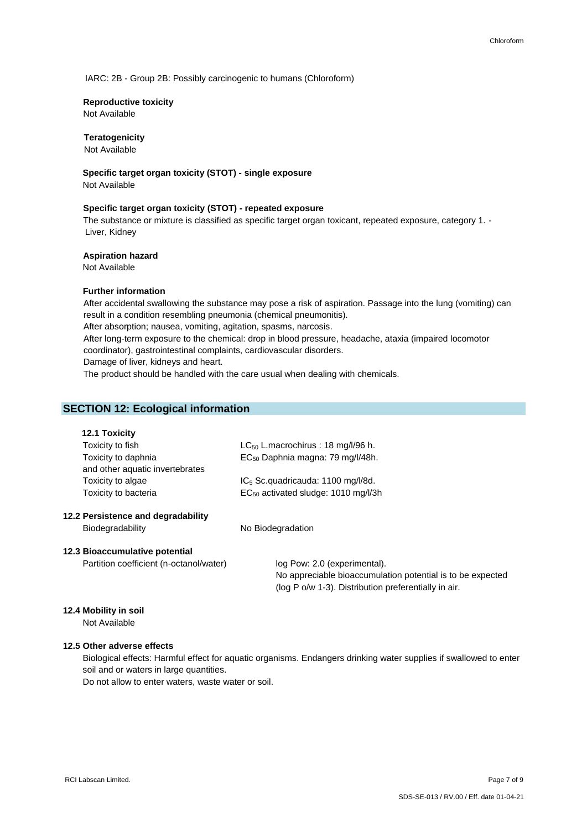IARC: 2B - Group 2B: Possibly carcinogenic to humans (Chloroform)

#### **Reproductive toxicity**

Not Available

### **Teratogenicity**

Not Available

 **Specific target organ toxicity (STOT) - single exposure**

Not Available

#### **Specific target organ toxicity (STOT) - repeated exposure**

The substance or mixture is classified as specific target organ toxicant, repeated exposure, category 1. - Liver, Kidney

#### **Aspiration hazard**

Not Available

### **Further information**

After accidental swallowing the substance may pose a risk of aspiration. Passage into the lung (vomiting) can result in a condition resembling pneumonia (chemical pneumonitis). After absorption; nausea, vomiting, agitation, spasms, narcosis. After long-term exposure to the chemical: drop in blood pressure, headache, ataxia (impaired locomotor coordinator), gastrointestinal complaints, cardiovascular disorders. Damage of liver, kidneys and heart. The product should be handled with the care usual when dealing with chemicals.

### **SECTION 12: Ecological information**

### **12.1 Toxicity**

| Toxicity to fish                   | $LC_{50}$ L.macrochirus: 18 mg/l/96 h.          |  |
|------------------------------------|-------------------------------------------------|--|
| Toxicity to daphnia                | EC <sub>50</sub> Daphnia magna: 79 mg/l/48h.    |  |
| and other aquatic invertebrates    |                                                 |  |
| Toxicity to algae                  | $IC5$ Sc.quadricauda: 1100 mg/l/8d.             |  |
| Toxicity to bacteria               | EC <sub>50</sub> activated sludge: 1010 mg/l/3h |  |
| 12.2 Persistence and degradability |                                                 |  |

Biodegradability No Biodegradation

#### **12.3 Bioaccumulative potential**

Partition coefficient (n-octanol/water) log Pow: 2.0 (experimental).

No appreciable bioaccumulation potential is to be expected (log P o/w 1-3). Distribution preferentially in air.

### **12.4 Mobility in soil**

Not Available

### **12.5 Other adverse effects**

 Biological effects: Harmful effect for aquatic organisms. Endangers drinking water supplies if swallowed to enter soil and or waters in large quantities.

Do not allow to enter waters, waste water or soil.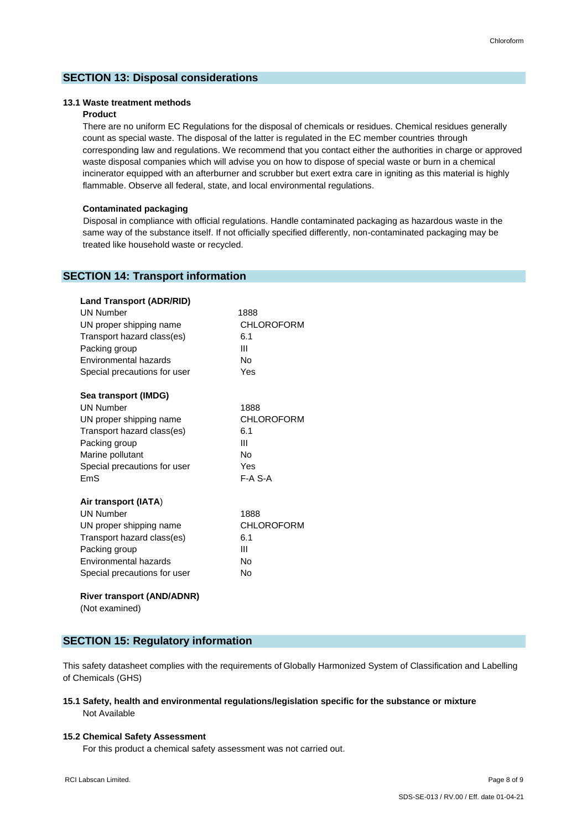### **SECTION 13: Disposal considerations**

### **13.1 Waste treatment methods**

### **Product**

 There are no uniform EC Regulations for the disposal of chemicals or residues. Chemical residues generally count as special waste. The disposal of the latter is regulated in the EC member countries through corresponding law and regulations. We recommend that you contact either the authorities in charge or approved waste disposal companies which will advise you on how to dispose of special waste or burn in a chemical incinerator equipped with an afterburner and scrubber but exert extra care in igniting as this material is highly flammable. Observe all federal, state, and local environmental regulations.

#### **Contaminated packaging**

 Disposal in compliance with official regulations. Handle contaminated packaging as hazardous waste in the same way of the substance itself. If not officially specified differently, non-contaminated packaging may be treated like household waste or recycled.

### **SECTION 14: Transport information**

| <b>Land Transport (ADR/RID)</b> |                   |
|---------------------------------|-------------------|
| <b>UN Number</b>                | 1888              |
| UN proper shipping name         | <b>CHLOROFORM</b> |
| Transport hazard class(es)      | 6.1               |
| Packing group                   | Ш                 |
| Environmental hazards           | No                |
| Special precautions for user    | Yes               |
| Sea transport (IMDG)            |                   |
| <b>UN Number</b>                | 1888              |
| UN proper shipping name         | <b>CHLOROFORM</b> |
| Transport hazard class(es)      | 6.1               |
| Packing group                   | Ш                 |
| Marine pollutant                | Nο                |
| Special precautions for user    | Yes               |
| FmS                             | $F-A$ S-A         |
| Air transport (IATA)            |                   |
| <b>UN Number</b>                | 1888              |
| UN proper shipping name         | CHLOROFORM        |
| Transport hazard class(es)      | 6.1               |
| Packing group                   | Ш                 |
| Environmental hazards           | No                |
| Special precautions for user    | Nο                |

#### **River transport (AND/ADNR)**

(Not examined)

### **SECTION 15: Regulatory information**

This safety datasheet complies with the requirements of Globally Harmonized System of Classification and Labelling of Chemicals (GHS)

#### **15.1 Safety, health and environmental regulations/legislation specific for the substance or mixture** Not Available

#### **15.2 Chemical Safety Assessment**

For this product a chemical safety assessment was not carried out.